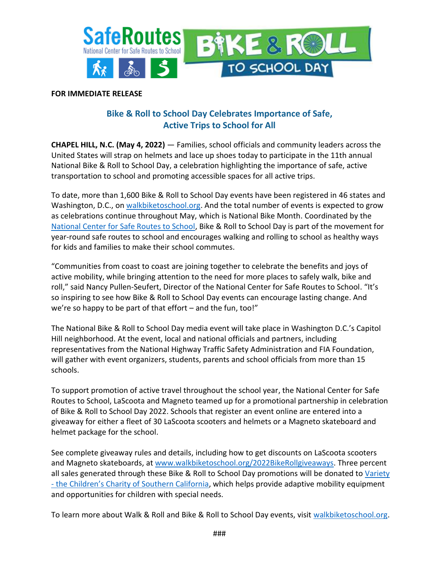

## **FOR IMMEDIATE RELEASE**

## **Bike & Roll to School Day Celebrates Importance of Safe, Active Trips to School for All**

**CHAPEL HILL, N.C. (May 4, 2022)** — Families, school officials and community leaders across the United States will strap on helmets and lace up shoes today to participate in the 11th annual National Bike & Roll to School Day, a celebration highlighting the importance of safe, active transportation to school and promoting accessible spaces for all active trips.

To date, more than 1,600 Bike & Roll to School Day events have been registered in 46 states and Washington, D.C., on [walkbiketoschool.org.](http://www.walkbiketoschool.org/) And the total number of events is expected to grow as celebrations continue throughout May, which is National Bike Month. Coordinated by the [National Center for Safe Routes to School,](http://www.saferoutesinfo.org/) Bike & Roll to School Day is part of the movement for year-round safe routes to school and encourages walking and rolling to school as healthy ways for kids and families to make their school commutes.

"Communities from coast to coast are joining together to celebrate the benefits and joys of active mobility, while bringing attention to the need for more places to safely walk, bike and roll," said Nancy Pullen-Seufert, Director of the National Center for Safe Routes to School. "It's so inspiring to see how Bike & Roll to School Day events can encourage lasting change. And we're so happy to be part of that effort – and the fun, too!"

The National Bike & Roll to School Day media event will take place in Washington D.C.'s Capitol Hill neighborhood. At the event, local and national officials and partners, including representatives from the National Highway Traffic Safety Administration and FIA Foundation, will gather with event organizers, students, parents and school officials from more than 15 schools.

To support promotion of active travel throughout the school year, the National Center for Safe Routes to School, LaScoota and Magneto teamed up for a promotional partnership in celebration of Bike & Roll to School Day 2022. Schools that register an event online are entered into a giveaway for either a fleet of 30 LaScoota scooters and helmets or a Magneto skateboard and helmet package for the school.

See complete giveaway rules and details, including how to get discounts on LaScoota scooters and Magneto skateboards, at [www.walkbiketoschool.org/2022BikeRollgiveaways.](http://www.walkbiketoschool.org/2022BikeRollgiveaways) Three percent all sales generated through these Bike & Roll to School Day promotions will be donated to Variety - [the Children's Charity of Southern California](https://varietysocal.org/), which helps provide adaptive mobility equipment and opportunities for children with special needs.

To learn more about Walk & Roll and Bike & Roll to School Day events, visit [walkbiketoschool.org.](http://www.walkbiketoschool.org/)